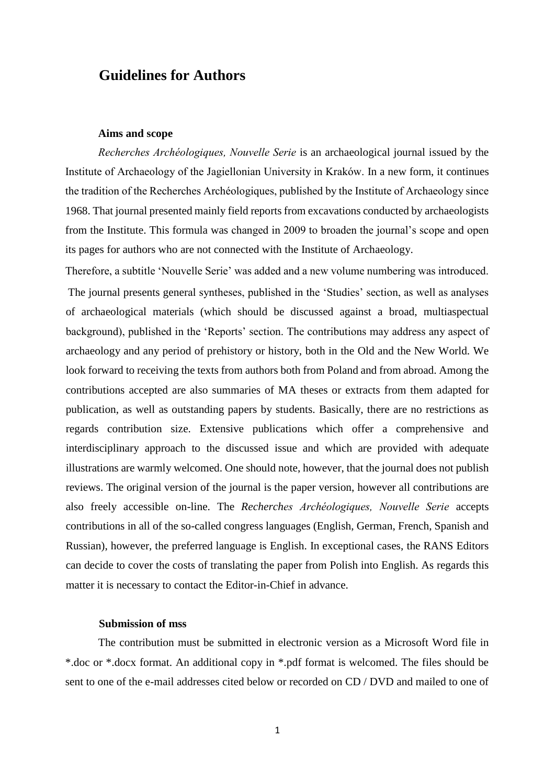# **Guidelines for Authors**

## **Aims and scope**

*Recherches Archéologiques, Nouvelle Serie* is an archaeological journal issued by the Institute of Archaeology of the Jagiellonian University in Kraków. In a new form, it continues the tradition of the Recherches Archéologiques, published by the Institute of Archaeology since 1968. That journal presented mainly field reports from excavations conducted by archaeologists from the Institute. This formula was changed in 2009 to broaden the journal's scope and open its pages for authors who are not connected with the Institute of Archaeology.

Therefore, a subtitle 'Nouvelle Serie' was added and a new volume numbering was introduced. The journal presents general syntheses, published in the 'Studies' section, as well as analyses of archaeological materials (which should be discussed against a broad, multiaspectual background), published in the 'Reports' section. The contributions may address any aspect of archaeology and any period of prehistory or history, both in the Old and the New World. We look forward to receiving the texts from authors both from Poland and from abroad. Among the contributions accepted are also summaries of MA theses or extracts from them adapted for publication, as well as outstanding papers by students. Basically, there are no restrictions as regards contribution size. Extensive publications which offer a comprehensive and interdisciplinary approach to the discussed issue and which are provided with adequate illustrations are warmly welcomed. One should note, however, that the journal does not publish reviews. The original version of the journal is the paper version, however all contributions are also freely accessible on-line. The *Recherches Archéologiques, Nouvelle Serie* accepts contributions in all of the so-called congress languages (English, German, French, Spanish and Russian), however, the preferred language is English. In exceptional cases, the RANS Editors can decide to cover the costs of translating the paper from Polish into English. As regards this matter it is necessary to contact the Editor-in-Chief in advance.

# **Submission of mss**

The contribution must be submitted in electronic version as a Microsoft Word file in \*.doc or \*.docx format. An additional copy in \*.pdf format is welcomed. The files should be sent to one of the e-mail addresses cited below or recorded on CD / DVD and mailed to one of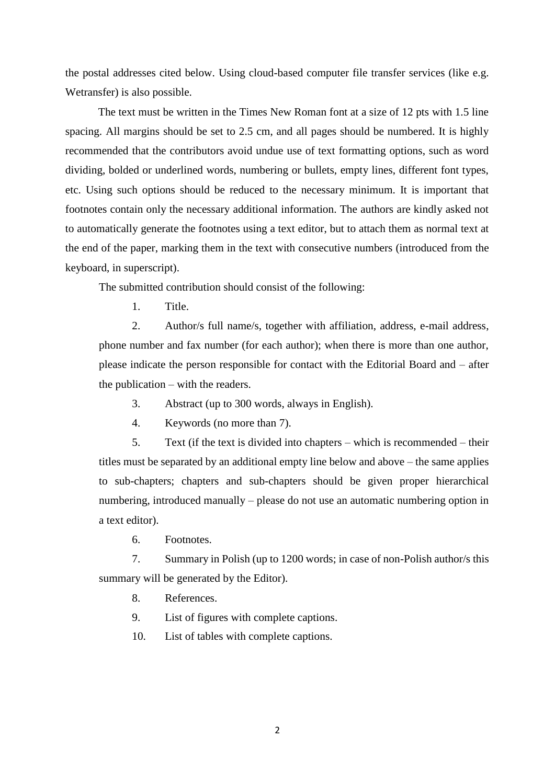the postal addresses cited below. Using cloud-based computer file transfer services (like e.g. Wetransfer) is also possible.

The text must be written in the Times New Roman font at a size of 12 pts with 1.5 line spacing. All margins should be set to 2.5 cm, and all pages should be numbered. It is highly recommended that the contributors avoid undue use of text formatting options, such as word dividing, bolded or underlined words, numbering or bullets, empty lines, different font types, etc. Using such options should be reduced to the necessary minimum. It is important that footnotes contain only the necessary additional information. The authors are kindly asked not to automatically generate the footnotes using a text editor, but to attach them as normal text at the end of the paper, marking them in the text with consecutive numbers (introduced from the keyboard, in superscript).

The submitted contribution should consist of the following:

1. Title.

2. Author/s full name/s, together with affiliation, address, e-mail address, phone number and fax number (for each author); when there is more than one author, please indicate the person responsible for contact with the Editorial Board and – after the publication – with the readers.

3. Abstract (up to 300 words, always in English).

4. Keywords (no more than 7).

5. Text (if the text is divided into chapters – which is recommended – their titles must be separated by an additional empty line below and above – the same applies to sub-chapters; chapters and sub-chapters should be given proper hierarchical numbering, introduced manually – please do not use an automatic numbering option in a text editor).

6. Footnotes.

7. Summary in Polish (up to 1200 words; in case of non-Polish author/s this summary will be generated by the Editor).

- 8. References.
- 9. List of figures with complete captions.

10. List of tables with complete captions.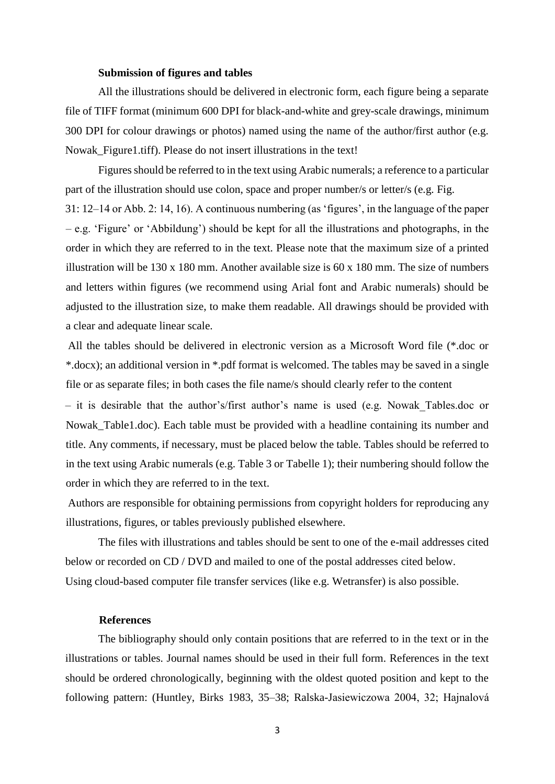# **Submission of figures and tables**

All the illustrations should be delivered in electronic form, each figure being a separate file of TIFF format (minimum 600 DPI for black-and-white and grey-scale drawings, minimum 300 DPI for colour drawings or photos) named using the name of the author/first author (e.g. Nowak Figure1.tiff). Please do not insert illustrations in the text!

Figures should be referred to in the text using Arabic numerals; a reference to a particular part of the illustration should use colon, space and proper number/s or letter/s (e.g. Fig.

31: 12–14 or Abb. 2: 14, 16). A continuous numbering (as 'figures', in the language of the paper – e.g. 'Figure' or 'Abbildung') should be kept for all the illustrations and photographs, in the order in which they are referred to in the text. Please note that the maximum size of a printed illustration will be 130 x 180 mm. Another available size is 60 x 180 mm. The size of numbers and letters within figures (we recommend using Arial font and Arabic numerals) should be adjusted to the illustration size, to make them readable. All drawings should be provided with a clear and adequate linear scale.

All the tables should be delivered in electronic version as a Microsoft Word file (\*.doc or \*.docx); an additional version in \*.pdf format is welcomed. The tables may be saved in a single file or as separate files; in both cases the file name/s should clearly refer to the content

– it is desirable that the author's/first author's name is used (e.g. Nowak\_Tables.doc or Nowak Table1.doc). Each table must be provided with a headline containing its number and title. Any comments, if necessary, must be placed below the table. Tables should be referred to in the text using Arabic numerals (e.g. Table 3 or Tabelle 1); their numbering should follow the order in which they are referred to in the text.

Authors are responsible for obtaining permissions from copyright holders for reproducing any illustrations, figures, or tables previously published elsewhere.

The files with illustrations and tables should be sent to one of the e-mail addresses cited below or recorded on CD / DVD and mailed to one of the postal addresses cited below. Using cloud-based computer file transfer services (like e.g. Wetransfer) is also possible.

# **References**

The bibliography should only contain positions that are referred to in the text or in the illustrations or tables. Journal names should be used in their full form. References in the text should be ordered chronologically, beginning with the oldest quoted position and kept to the following pattern: (Huntley, Birks 1983, 35–38; Ralska-Jasiewiczowa 2004, 32; Hajnalová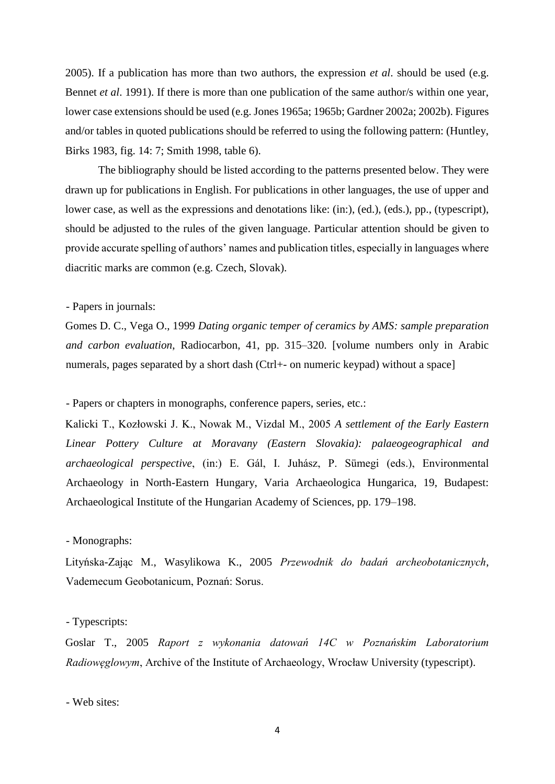2005). If a publication has more than two authors, the expression *et al*. should be used (e.g. Bennet *et al*. 1991). If there is more than one publication of the same author/s within one year, lower case extensions should be used (e.g. Jones 1965a; 1965b; Gardner 2002a; 2002b). Figures and/or tables in quoted publications should be referred to using the following pattern: (Huntley, Birks 1983, fig. 14: 7; Smith 1998, table 6).

The bibliography should be listed according to the patterns presented below. They were drawn up for publications in English. For publications in other languages, the use of upper and lower case, as well as the expressions and denotations like: (in:), (ed.), (eds.), pp., (typescript), should be adjusted to the rules of the given language. Particular attention should be given to provide accurate spelling of authors' names and publication titles, especially in languages where diacritic marks are common (e.g. Czech, Slovak).

# - Papers in journals:

Gomes D. C., Vega O., 1999 *Dating organic temper of ceramics by AMS: sample preparation and carbon evaluation*, Radiocarbon, 41, pp. 315–320. [volume numbers only in Arabic numerals, pages separated by a short dash (Ctrl+- on numeric keypad) without a space]

- Papers or chapters in monographs, conference papers, series, etc.:

Kalicki T., Kozłowski J. K., Nowak M., Vizdal M., 2005 *A settlement of the Early Eastern Linear Pottery Culture at Moravany (Eastern Slovakia): palaeogeographical and archaeological perspective*, (in:) E. Gál, I. Juhász, P. Sümegi (eds.), Environmental Archaeology in North-Eastern Hungary, Varia Archaeologica Hungarica, 19, Budapest: Archaeological Institute of the Hungarian Academy of Sciences, pp. 179–198.

# - Monographs:

Lityńska-Zając M., Wasylikowa K., 2005 *Przewodnik do badań archeobotanicznych*, Vademecum Geobotanicum, Poznań: Sorus.

## - Typescripts:

Goslar T., 2005 *Raport z wykonania datowań 14C w Poznańskim Laboratorium Radiowęglowym*, Archive of the Institute of Archaeology, Wrocław University (typescript).

- Web sites: